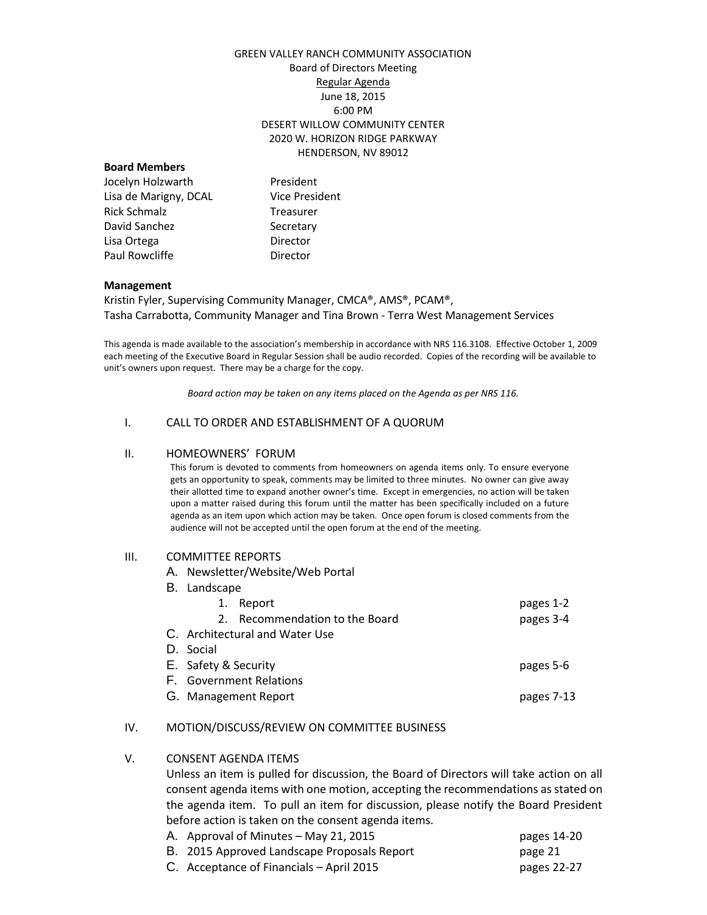# GREEN VALLEY RANCH COMMUNITY ASSOCIATION Board of Directors Meeting Regular Agenda June 18, 2015 6:00 PM DESERT WILLOW COMMUNITY CENTER 2020 W. HORIZON RIDGE PARKWAY HENDERSON, NV 89012

## **Board Members**

Jocelyn Holzwarth President Lisa de Marigny, DCAL Vice President Rick Schmalz Treasurer David Sanchez Secretary Lisa Ortega **Director** Paul Rowcliffe **Director** 

#### **Management**

Kristin Fyler, Supervising Community Manager, CMCA®, AMS®, PCAM®, Tasha Carrabotta, Community Manager and Tina Brown - Terra West Management Services

This agenda is made available to the association's membership in accordance with NRS 116.3108. Effective October 1, 2009 each meeting of the Executive Board in Regular Session shall be audio recorded. Copies of the recording will be available to unit's owners upon request. There may be a charge for the copy.

*Board action may be taken on any items placed on the Agenda as per NRS 116.*

### I. CALL TO ORDER AND ESTABLISHMENT OF A QUORUM

#### II. HOMEOWNERS' FORUM

This forum is devoted to comments from homeowners on agenda items only. To ensure everyone gets an opportunity to speak, comments may be limited to three minutes. No owner can give away their allotted time to expand another owner's time. Except in emergencies, no action will be taken upon a matter raised during this forum until the matter has been specifically included on a future agenda as an item upon which action may be taken. Once open forum is closed comments from the audience will not be accepted until the open forum at the end of the meeting.

## III. COMMITTEE REPORTS

A. Newsletter/Website/Web Portal

|                                | B. Landscape                   |            |  |  |
|--------------------------------|--------------------------------|------------|--|--|
| 1.                             | Report                         | pages 1-2  |  |  |
|                                | 2. Recommendation to the Board | pages 3-4  |  |  |
| C. Architectural and Water Use |                                |            |  |  |
| D. Social                      |                                |            |  |  |
| E. Safety & Security           |                                | pages 5-6  |  |  |
| F. Government Relations        |                                |            |  |  |
|                                | G. Management Report           | pages 7-13 |  |  |
|                                |                                |            |  |  |

# IV. MOTION/DISCUSS/REVIEW ON COMMITTEE BUSINESS

## V. CONSENT AGENDA ITEMS

Unless an item is pulled for discussion, the Board of Directors will take action on all consent agenda items with one motion, accepting the recommendations as stated on the agenda item. To pull an item for discussion, please notify the Board President before action is taken on the consent agenda items.<br>A conserval of Minutes May 21, 2015

| A. Approval of Minutes – May 21, 2015       | pages 14-20 |
|---------------------------------------------|-------------|
| B. 2015 Approved Landscape Proposals Report | page 21     |
| C. Acceptance of Financials – April 2015    | pages 22-27 |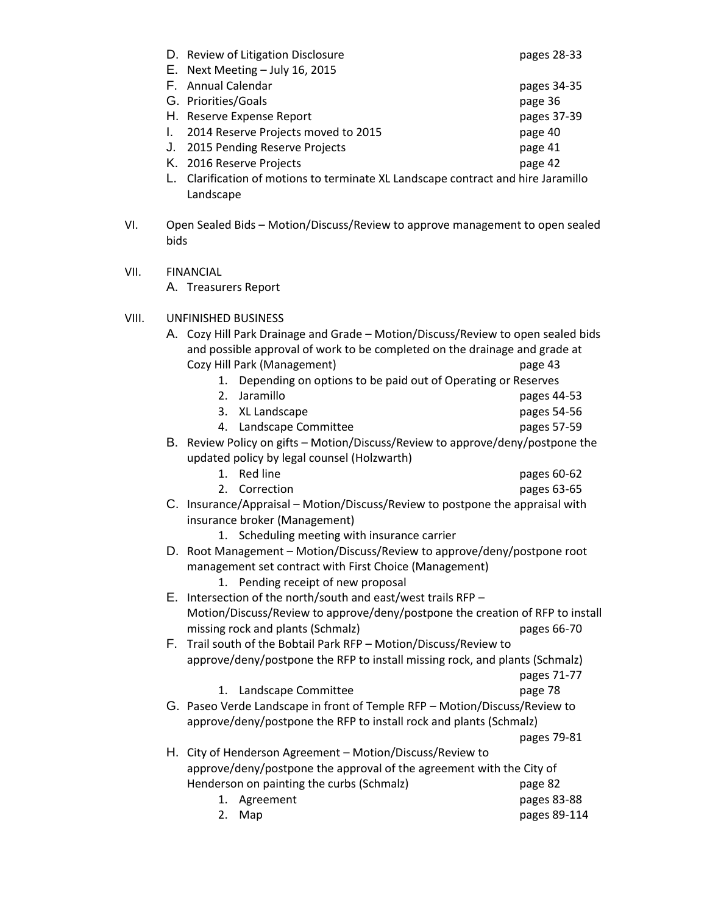|  | D. Review of Litigation Disclosure                                                      | pages 28-33 |
|--|-----------------------------------------------------------------------------------------|-------------|
|  | E. Next Meeting - July 16, 2015                                                         |             |
|  | F. Annual Calendar                                                                      | pages 34-35 |
|  | G. Priorities/Goals                                                                     | page 36     |
|  | H. Reserve Expense Report                                                               | pages 37-39 |
|  | 2014 Reserve Projects moved to 2015                                                     | page 40     |
|  | J. 2015 Pending Reserve Projects                                                        | page 41     |
|  | K. 2016 Reserve Projects                                                                | page 42     |
|  | Alex Progress of contract in a contract Alternatives and contract and the contract to a |             |

- L. Clarification of motions to terminate XL Landscape contract and hire Jaramillo Landscape
- VI. Open Sealed Bids Motion/Discuss/Review to approve management to open sealed bids
- VII. FINANCIAL

A. Treasurers Report

VIII. UNFINISHED BUSINESS

| A. Cozy Hill Park Drainage and Grade - Motion/Discuss/Review to open sealed bids                          |                                                                           |              |  |  |
|-----------------------------------------------------------------------------------------------------------|---------------------------------------------------------------------------|--------------|--|--|
| and possible approval of work to be completed on the drainage and grade at<br>Cozy Hill Park (Management) |                                                                           |              |  |  |
| 1.                                                                                                        |                                                                           | page 43      |  |  |
| 2.                                                                                                        | Depending on options to be paid out of Operating or Reserves<br>Jaramillo | pages 44-53  |  |  |
| 3.                                                                                                        |                                                                           |              |  |  |
| 4.                                                                                                        | XL Landscape                                                              | pages 54-56  |  |  |
|                                                                                                           | Landscape Committee                                                       | pages 57-59  |  |  |
| B. Review Policy on gifts - Motion/Discuss/Review to approve/deny/postpone the                            |                                                                           |              |  |  |
|                                                                                                           | updated policy by legal counsel (Holzwarth)                               |              |  |  |
| $1_{-}$                                                                                                   | <b>Red line</b>                                                           | pages 60-62  |  |  |
| 2.                                                                                                        | Correction                                                                | pages 63-65  |  |  |
| C. Insurance/Appraisal – Motion/Discuss/Review to postpone the appraisal with                             |                                                                           |              |  |  |
| insurance broker (Management)                                                                             |                                                                           |              |  |  |
| 1.                                                                                                        | Scheduling meeting with insurance carrier                                 |              |  |  |
| D. Root Management - Motion/Discuss/Review to approve/deny/postpone root                                  |                                                                           |              |  |  |
|                                                                                                           | management set contract with First Choice (Management)                    |              |  |  |
|                                                                                                           | 1. Pending receipt of new proposal                                        |              |  |  |
| E. Intersection of the north/south and east/west trails RFP $-$                                           |                                                                           |              |  |  |
| Motion/Discuss/Review to approve/deny/postpone the creation of RFP to install                             |                                                                           |              |  |  |
|                                                                                                           | missing rock and plants (Schmalz)                                         | pages 66-70  |  |  |
| F. Trail south of the Bobtail Park RFP - Motion/Discuss/Review to                                         |                                                                           |              |  |  |
| approve/deny/postpone the RFP to install missing rock, and plants (Schmalz)                               |                                                                           |              |  |  |
|                                                                                                           |                                                                           | pages 71-77  |  |  |
| 1.                                                                                                        | Landscape Committee                                                       | page 78      |  |  |
| G. Paseo Verde Landscape in front of Temple RFP - Motion/Discuss/Review to                                |                                                                           |              |  |  |
| approve/deny/postpone the RFP to install rock and plants (Schmalz)                                        |                                                                           |              |  |  |
|                                                                                                           |                                                                           | pages 79-81  |  |  |
|                                                                                                           | H. City of Henderson Agreement - Motion/Discuss/Review to                 |              |  |  |
| approve/deny/postpone the approval of the agreement with the City of                                      |                                                                           |              |  |  |
|                                                                                                           | Henderson on painting the curbs (Schmalz)                                 | page 82      |  |  |
| 1.                                                                                                        | Agreement                                                                 | pages 83-88  |  |  |
| 2.                                                                                                        | Map                                                                       | pages 89-114 |  |  |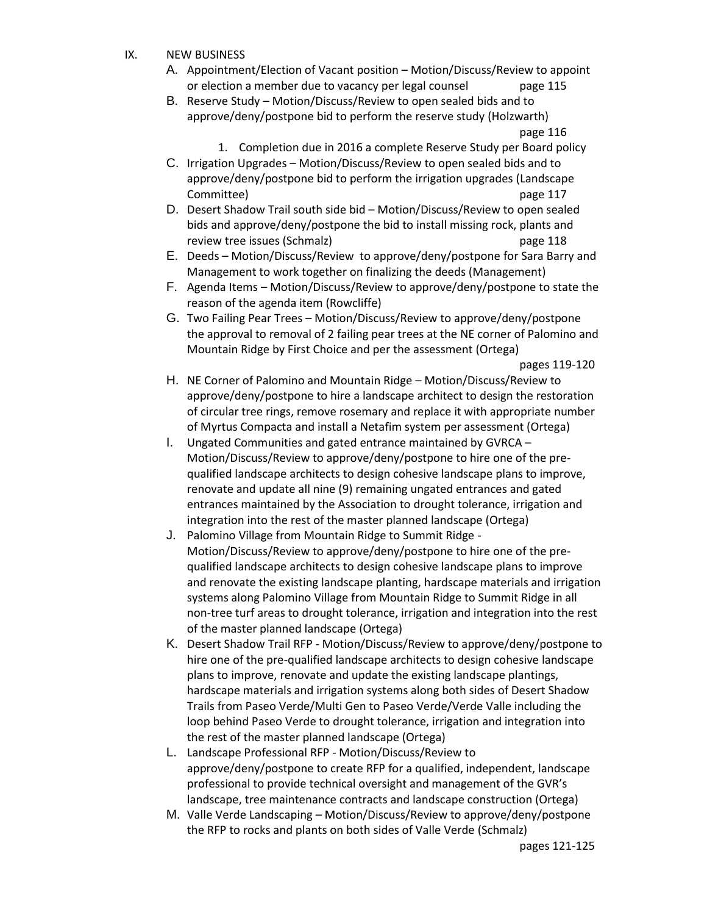- IX. NEW BUSINESS
	- A. Appointment/Election of Vacant position Motion/Discuss/Review to appoint or election a member due to vacancy per legal counsel page 115
	- B. Reserve Study Motion/Discuss/Review to open sealed bids and to approve/deny/postpone bid to perform the reserve study (Holzwarth) page 116
		- 1. Completion due in 2016 a complete Reserve Study per Board policy
	- C. Irrigation Upgrades Motion/Discuss/Review to open sealed bids and to approve/deny/postpone bid to perform the irrigation upgrades (Landscape Committee) page 117
	- D. Desert Shadow Trail south side bid Motion/Discuss/Review to open sealed bids and approve/deny/postpone the bid to install missing rock, plants and review tree issues (Schmalz) example the page 118
	- E. Deeds Motion/Discuss/Review to approve/deny/postpone for Sara Barry and Management to work together on finalizing the deeds (Management)
	- F. Agenda Items Motion/Discuss/Review to approve/deny/postpone to state the reason of the agenda item (Rowcliffe)
	- G. Two Failing Pear Trees Motion/Discuss/Review to approve/deny/postpone the approval to removal of 2 failing pear trees at the NE corner of Palomino and Mountain Ridge by First Choice and per the assessment (Ortega)

pages 119-120

- H. NE Corner of Palomino and Mountain Ridge Motion/Discuss/Review to approve/deny/postpone to hire a landscape architect to design the restoration of circular tree rings, remove rosemary and replace it with appropriate number of Myrtus Compacta and install a Netafim system per assessment (Ortega)
- I. Ungated Communities and gated entrance maintained by GVRCA Motion/Discuss/Review to approve/deny/postpone to hire one of the prequalified landscape architects to design cohesive landscape plans to improve, renovate and update all nine (9) remaining ungated entrances and gated entrances maintained by the Association to drought tolerance, irrigation and integration into the rest of the master planned landscape (Ortega)
- J. Palomino Village from Mountain Ridge to Summit Ridge Motion/Discuss/Review to approve/deny/postpone to hire one of the prequalified landscape architects to design cohesive landscape plans to improve and renovate the existing landscape planting, hardscape materials and irrigation systems along Palomino Village from Mountain Ridge to Summit Ridge in all non-tree turf areas to drought tolerance, irrigation and integration into the rest of the master planned landscape (Ortega)
- K. Desert Shadow Trail RFP Motion/Discuss/Review to approve/deny/postpone to hire one of the pre-qualified landscape architects to design cohesive landscape plans to improve, renovate and update the existing landscape plantings, hardscape materials and irrigation systems along both sides of Desert Shadow Trails from Paseo Verde/Multi Gen to Paseo Verde/Verde Valle including the loop behind Paseo Verde to drought tolerance, irrigation and integration into the rest of the master planned landscape (Ortega)
- L. Landscape Professional RFP Motion/Discuss/Review to approve/deny/postpone to create RFP for a qualified, independent, landscape professional to provide technical oversight and management of the GVR's landscape, tree maintenance contracts and landscape construction (Ortega)
- M. Valle Verde Landscaping Motion/Discuss/Review to approve/deny/postpone the RFP to rocks and plants on both sides of Valle Verde (Schmalz)